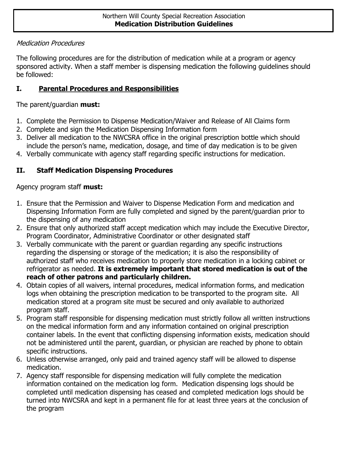### Medication Procedures

The following procedures are for the distribution of medication while at a program or agency sponsored activity. When a staff member is dispensing medication the following guidelines should be followed:

## **I. Parental Procedures and Responsibilities**

## The parent/guardian **must:**

- 1. Complete the Permission to Dispense Medication/Waiver and Release of All Claims form
- 2. Complete and sign the Medication Dispensing Information form
- 3. Deliver all medication to the NWCSRA office in the original prescription bottle which should include the person's name, medication, dosage, and time of day medication is to be given
- 4. Verbally communicate with agency staff regarding specific instructions for medication.

# **II. Staff Medication Dispensing Procedures**

### Agency program staff **must:**

- 1. Ensure that the Permission and Waiver to Dispense Medication Form and medication and Dispensing Information Form are fully completed and signed by the parent/guardian prior to the dispensing of any medication
- 2. Ensure that only authorized staff accept medication which may include the Executive Director, Program Coordinator, Administrative Coordinator or other designated staff
- 3. Verbally communicate with the parent or guardian regarding any specific instructions regarding the dispensing or storage of the medication; it is also the responsibility of authorized staff who receives medication to properly store medication in a locking cabinet or refrigerator as needed. **It is extremely important that stored medication is out of the reach of other patrons and particularly children.**
- 4. Obtain copies of all waivers, internal procedures, medical information forms, and medication logs when obtaining the prescription medication to be transported to the program site. All medication stored at a program site must be secured and only available to authorized program staff.
- 5. Program staff responsible for dispensing medication must strictly follow all written instructions on the medical information form and any information contained on original prescription container labels. In the event that conflicting dispensing information exists, medication should not be administered until the parent, guardian, or physician are reached by phone to obtain specific instructions.
- 6. Unless otherwise arranged, only paid and trained agency staff will be allowed to dispense medication.
- 7. Agency staff responsible for dispensing medication will fully complete the medication information contained on the medication log form. Medication dispensing logs should be completed until medication dispensing has ceased and completed medication logs should be turned into NWCSRA and kept in a permanent file for at least three years at the conclusion of the program